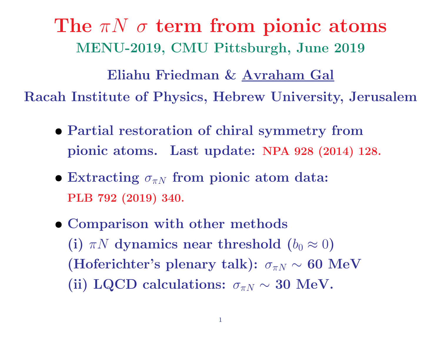The  $\pi N$   $\sigma$  term from pionic atoms MENU-2019, CMU Pittsburgh, June 2019

Eliahu Friedman & Avraham Gal Racah Institute of Physics, Hebrew University, Jerusalem

- Partial restoration of chiral symmetry from pionic atoms. Last update: NPA <sup>928</sup> (2014) 128.
- Extracting  $\sigma_{\pi N}$  from pionic atom data: PLB <sup>792</sup> (2019) 340.
- Comparison with other methods (i)  $\pi N$  dynamics near threshold  $(b_0 \approx 0)$ (Hoferichter's plenary talk):  $\sigma_{\pi N} \sim 60$  MeV (ii) LQCD calculations:  $\sigma_{\pi N} \sim 30$  MeV.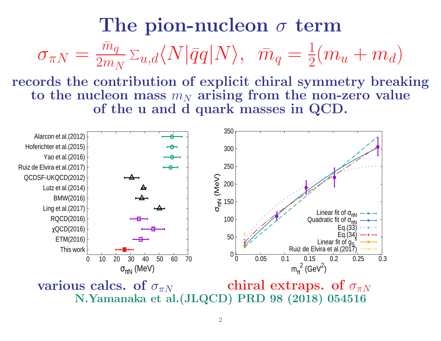#### The pion-nucleon  $\sigma$  term  $\sigma_{\pi N}$  $=$   $\frac{\bar{m}_q}{\bar{m}_q}$  $\frac{m_q}{2 m_N} \, \Sigma_{u,d} \langle N | \bar{q} q | N \rangle, \; \; \bar{m}_q$  $=$   $\frac{1}{1}$  $\frac{1}{2}(m_u+m_d)$

records the contribution of explicit chiral symmetry breaking to the nucleon mass  $m_N$  arising from the non-zero value of the <sup>u</sup> and d quark masses in QCD.



various calcs. of  $\sigma_{\pi N}$ chiral extraps. of  $\sigma_{\pi N}$ N.Yamanaka et al.(JLQCD) PRD <sup>98</sup> (2018) <sup>054516</sup>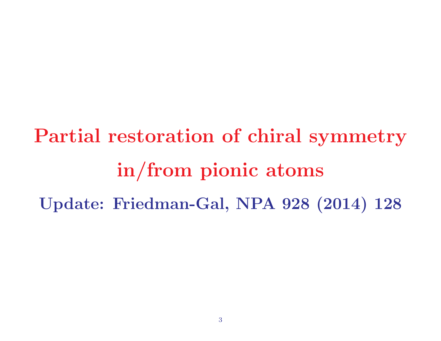# Partial restoration of chiral symmetry in/from <sup>p</sup>ionic atoms Update: Friedman-Gal, NPA <sup>928</sup> (2014) <sup>128</sup>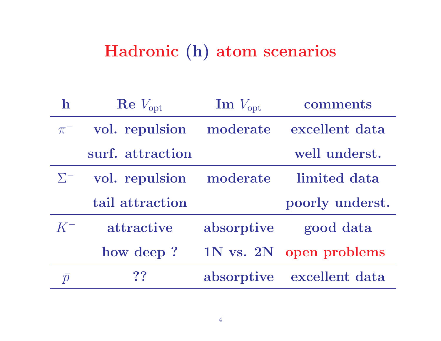### Hadronic (h) atom scenarios

| ${\bf h}$ | $\rm Re\,V_{opt}$       | $\text{Im } V_{\text{opt}}$ | comments        |
|-----------|-------------------------|-----------------------------|-----------------|
| $\pi^-$   | vol. repulsion          | moderate                    | excellent data  |
|           | surf. attraction        |                             | well underst.   |
| $\sum$    | vol. repulsion moderate |                             | limited data    |
|           |                         |                             |                 |
|           | tail attraction         |                             | poorly underst. |
| $K^-$     | attractive              | absorptive                  | good data       |
|           | how deep?               | $1N$ vs. $2N$               | open problems   |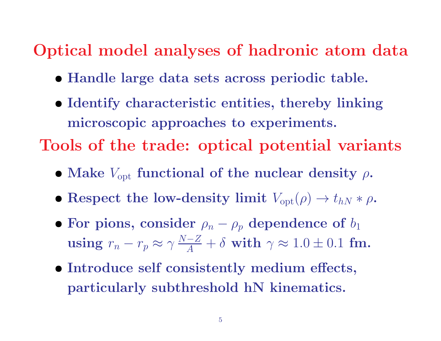### Optical model analyses of hadronic atom data

- Handle large data sets across periodic table.
- Identify characteristic entities, thereby linking microscopic approaches to experiments. Tools of the trade: optical potential variants
	- $\bullet$  Make  $V_{\mathrm{opt}}$  functional of the nuclear density  $\rho$ .
	- Respect the low-density limit  $V_{\text{opt}}(\rho) \to t_{hN} * \rho$ .
	- $\bullet$  For pions, consider  $\rho_n$  $-\rho_p$  dependence of  $b_1$  $\bold{using}\ r_n$ −  $r_p$  $\approx \gamma$  $N{-}Z$  $\frac{-Z}{A}+\delta \text{ with }\gamma\approx 1.0\pm 0.1\text{ fm}.$
	- Introduce self consistently medium effects, particularly subthreshold hN kinematics.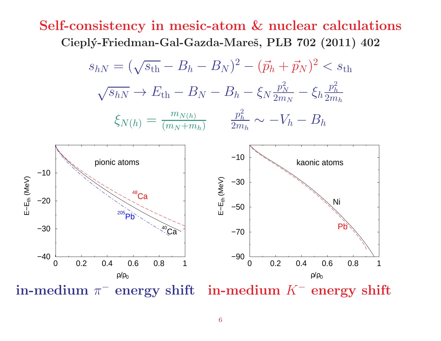#### Self-consistency in mesic-atom & nuclear calculations Cieplý-Friedman-Gal-Gazda-Mareš, PLB 702 (2011) 402



 ${\bf in\text{-}medium}$   $\pi$  $-$  energy shift in-medium  $K^-$  energy shift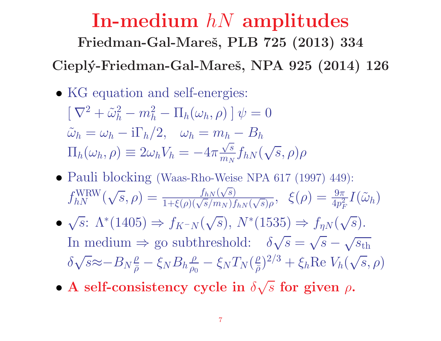## In-medium  $hN$  amplitudes Friedman-Gal-Mareš, PLB 725 (2013) 334 Cieplý-Friedman-Gal-Mareš, NPA 925 (2014) 126

• KG equation and self-energies:

 $\left[ \nabla^2 + \tilde{\omega}_h^2 - m_h^2 - \Pi_h(\omega_h, \rho) \right] \psi = 0$  $\tilde{\omega}_h = \omega_h - i \Gamma_h/2$ ,  $\omega_h = m_h - B_h$  $\Pi_h(\omega_h, \rho) \equiv 2\omega_h V_h = -4\pi \frac{\sqrt{s}}{m_N} f_{hN}(\sqrt{s}, \rho)\rho$ 

- Pauli blocking (Waas-Rho-Weise NPA 617 (1997) 449):  $f_{hN}^{\text{WRW}}(\sqrt{s}, \rho) = \frac{f_{hN}(\sqrt{s})}{1+\xi(\rho)(\sqrt{s}/m_N) f_{hN}(\sqrt{s})\rho}, \xi(\rho) = \frac{9\pi}{4p_F^2} I(\tilde{\omega}_h)$
- $\sqrt{s}$ :  $\Lambda^*(1405) \Rightarrow f_{K^-N}(\sqrt{s}), N^*(1535) \Rightarrow f_{nN}(\sqrt{s}).$ In medium  $\Rightarrow$  go subthreshold:  $\delta\sqrt{s} = \sqrt{s} - \sqrt{s_{\text{th}}}$  $\delta\sqrt{s}\approx-B_{N}\frac{\rho}{\overline{\rho}}-\xi_{N}B_{h}\frac{\rho}{\rho_{0}}-\xi_{N}T_{N}(\frac{\rho}{\overline{\rho}})^{2/3}+\xi_{h}\text{Re }V_{h}(\sqrt{s},\rho)$
- A self-consistency cycle in  $\delta\sqrt{s}$  for given  $\rho$ .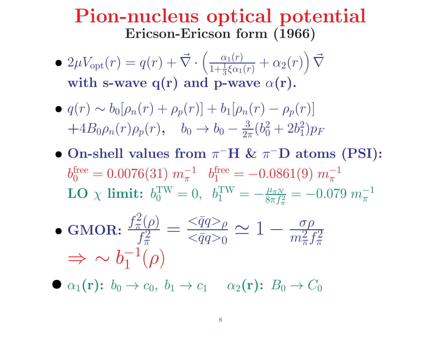### Pion-nucleus optical potential Ericson-Ericson form (1966)

- $2\mu V_{\text{opt}}(r) = q(r) + \vec{\nabla}$ .  $\left(\right)$  $\alpha_1(r)$  $1+\frac{1}{2}$  $\frac{\alpha_1(r)}{\frac{1}{3}\xi\alpha_1(r)}+\alpha_2(r)\Big)\,\vec{\nabla}$  $\left.\rule{0pt}{12pt}\right)$ with s-wave q(r) and p-wave  $\alpha({\bf r})$ .
- $q(r) \sim b_0[\rho_n(r) + \rho_p(r)] + b_1[\rho_n(r) \rho_p(r)]$  $+4B_0\rho_n(r)\rho_p(r)$ ,  $b_0 \rightarrow b_0$ − 3  $\frac{3}{2\pi}(b_0^2+2b_1^2$  $\binom{2}{1}p_F$
- On-shell values from  $\pi$ <sup>-</sup>H &  $\pi$ <sup>-</sup>D atoms (PSI):  $b_0^{\rm free}=0.0076(31)\;m_\pi^{-1}$  $\begin{array}{cc} -1 & b_1^{\text{free}} \ \pi & 1 \end{array}$  $= -0.0861(9) m_{\pi}^{-1}$  $\pi$ LO  $\chi$  limit:  $b_0^{\text{TW}} = 0$ ,  $b_1^{\text{TW}}$  $= -\frac{\mu_{\pi N}}{2}$  $8\pi f_\pi^2$ π  $= -0.079$   $m^{-1}$ π
- GMOR:  $f_\pi^2$  $\tilde{\pi}^2(\rho)$  $f_\pi^2$  $\pi$  $= \frac{<\bar{q}q>_{\rho}}{}$  $<\!\!\bar{q}q\!\!>_0$  $\simeq 1-\frac{\sigma\rho}{2}$  $m_\pi^2$  $2\overline{f}\pi^2$  $\pi$  $\Rightarrow \sim b_1^{-1}$  $\frac{-1}{1}(\rho)$

 $\bullet$   $\alpha_1(\mathbf{r})$ :  $b_0 \rightarrow c_0$ ,  $b_1 \rightarrow c_1$   $\alpha_2(\mathbf{r})$ :  $B_0 \rightarrow C_0$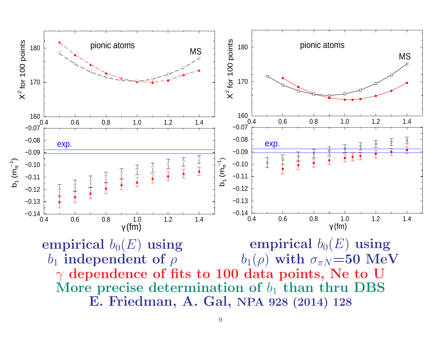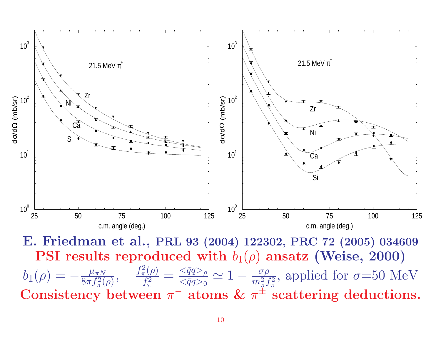

E. Friedman et al., PRL <sup>93</sup> (2004) 122302, PRC <sup>72</sup> (2005) <sup>034609</sup>  $\textbf{PSI}$  results reproduced with  $b_1(\rho)$  ansatz (Weise, 2000)  $b_1(\rho)=-\frac{\mu_{\pi N}}{8\pi\,f^2(\rho)}$  $8\pi f_\pi^2$  $\overline{\pi^2(\rho)}$  ,  $f_\pi^2$  $\mathcal{L}_{\pi}^{2}(\rho)$  $f_\pi^2$ π  $\equiv \frac{<\bar{q}q>_{\rho}}{}$  $<\!\!\bar{q}q\!\!>_0$  $\simeq 1-\frac{\sigma\rho}{2}$  $\overline{m^2}$  $_{\pi}^{2}f_{\pi}^{2}$ π , applied for  $\sigma = 50$  MeV Consistency between  $\pi^-$  atoms  $\&$   $\pi^\pm$  scattering deductions.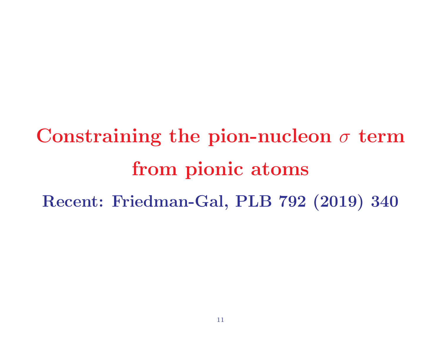Constraining the pion-nucleon  $\sigma$  term from pionic atoms Recent: Friedman-Gal, PLB <sup>792</sup> (2019) <sup>340</sup>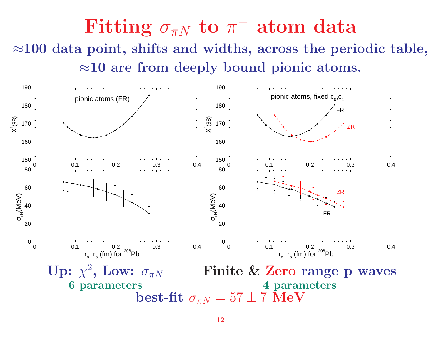Fitting  $\sigma_{\pi N}$  to  $\pi^-$  atom data  $\approx$ 100 data point, shifts and widths, across the periodic table,  $\approx$ 10 are from deeply bound pionic atoms.

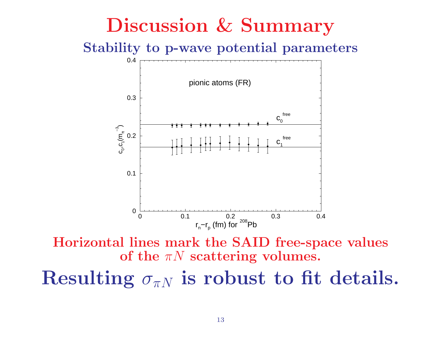## Discussion & Summary

Stability to p-wave potential parameters



Horizontal lines mark the SAID free-space values of the  $\pi N$  scattering volumes.

Resulting  $\sigma_{\pi N}$  is robust to fit details.